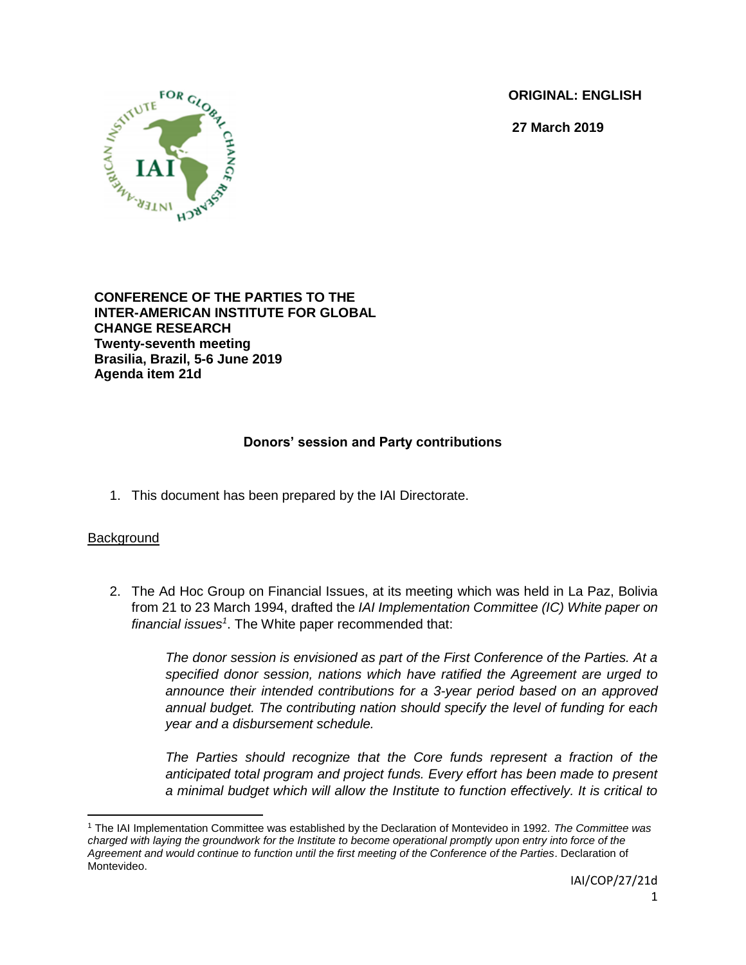**ORIGINAL: ENGLISH**

**27 March 2019**



**CONFERENCE OF THE PARTIES TO THE INTER-AMERICAN INSTITUTE FOR GLOBAL CHANGE RESEARCH Twenty-seventh meeting Brasilia, Brazil, 5-6 June 2019 Agenda item 21d**

## **Donors' session and Party contributions**

1. This document has been prepared by the IAI Directorate.

## **Background**

2. The Ad Hoc Group on Financial Issues, at its meeting which was held in La Paz, Bolivia from 21 to 23 March 1994, drafted the *IAI Implementation Committee (IC) White paper on financial issues<sup>1</sup>* . The White paper recommended that:

> *The donor session is envisioned as part of the First Conference of the Parties. At a specified donor session, nations which have ratified the Agreement are urged to announce their intended contributions for a 3-year period based on an approved annual budget. The contributing nation should specify the level of funding for each year and a disbursement schedule.*

> *The Parties should recognize that the Core funds represent a fraction of the anticipated total program and project funds. Every effort has been made to present a minimal budget which will allow the Institute to function effectively. It is critical to*

 $\overline{\phantom{a}}$ <sup>1</sup> The IAI Implementation Committee was established by the Declaration of Montevideo in 1992*. The Committee was charged with laying the groundwork for the Institute to become operational promptly upon entry into force of the Agreement and would continue to function until the first meeting of the Conference of the Parties*. Declaration of Montevideo.